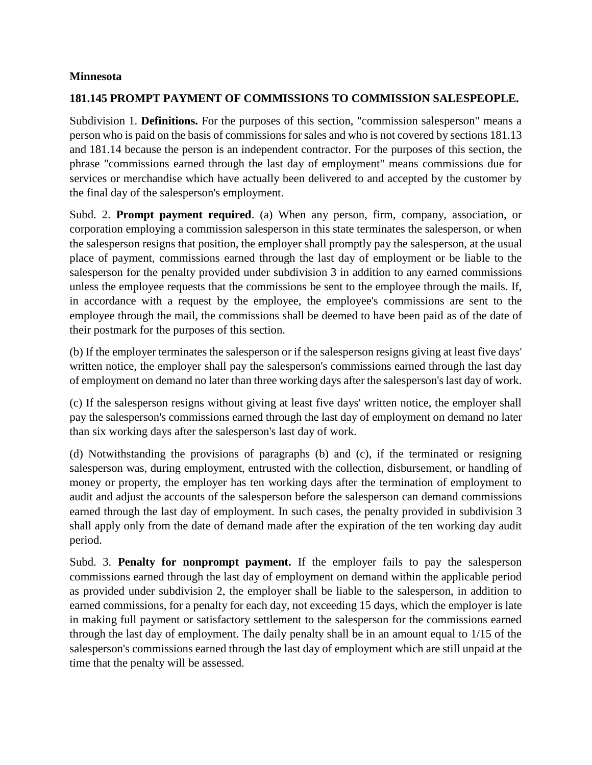## **Minnesota**

# **181.145 PROMPT PAYMENT OF COMMISSIONS TO COMMISSION SALESPEOPLE.**

Subdivision 1. **Definitions.** For the purposes of this section, "commission salesperson" means a person who is paid on the basis of commissions for sales and who is not covered by sections 181.13 and 181.14 because the person is an independent contractor. For the purposes of this section, the phrase "commissions earned through the last day of employment" means commissions due for services or merchandise which have actually been delivered to and accepted by the customer by the final day of the salesperson's employment.

Subd. 2. **Prompt payment required**. (a) When any person, firm, company, association, or corporation employing a commission salesperson in this state terminates the salesperson, or when the salesperson resigns that position, the employer shall promptly pay the salesperson, at the usual place of payment, commissions earned through the last day of employment or be liable to the salesperson for the penalty provided under subdivision 3 in addition to any earned commissions unless the employee requests that the commissions be sent to the employee through the mails. If, in accordance with a request by the employee, the employee's commissions are sent to the employee through the mail, the commissions shall be deemed to have been paid as of the date of their postmark for the purposes of this section.

(b) If the employer terminates the salesperson or if the salesperson resigns giving at least five days' written notice, the employer shall pay the salesperson's commissions earned through the last day of employment on demand no later than three working days after the salesperson's last day of work.

(c) If the salesperson resigns without giving at least five days' written notice, the employer shall pay the salesperson's commissions earned through the last day of employment on demand no later than six working days after the salesperson's last day of work.

(d) Notwithstanding the provisions of paragraphs (b) and (c), if the terminated or resigning salesperson was, during employment, entrusted with the collection, disbursement, or handling of money or property, the employer has ten working days after the termination of employment to audit and adjust the accounts of the salesperson before the salesperson can demand commissions earned through the last day of employment. In such cases, the penalty provided in subdivision 3 shall apply only from the date of demand made after the expiration of the ten working day audit period.

Subd. 3. **Penalty for nonprompt payment.** If the employer fails to pay the salesperson commissions earned through the last day of employment on demand within the applicable period as provided under subdivision 2, the employer shall be liable to the salesperson, in addition to earned commissions, for a penalty for each day, not exceeding 15 days, which the employer is late in making full payment or satisfactory settlement to the salesperson for the commissions earned through the last day of employment. The daily penalty shall be in an amount equal to 1/15 of the salesperson's commissions earned through the last day of employment which are still unpaid at the time that the penalty will be assessed.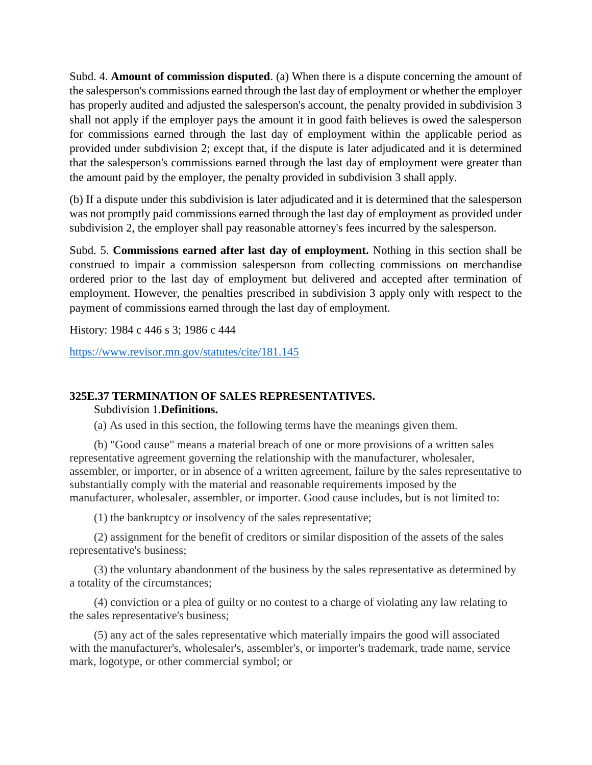Subd. 4. **Amount of commission disputed**. (a) When there is a dispute concerning the amount of the salesperson's commissions earned through the last day of employment or whether the employer has properly audited and adjusted the salesperson's account, the penalty provided in subdivision 3 shall not apply if the employer pays the amount it in good faith believes is owed the salesperson for commissions earned through the last day of employment within the applicable period as provided under subdivision 2; except that, if the dispute is later adjudicated and it is determined that the salesperson's commissions earned through the last day of employment were greater than the amount paid by the employer, the penalty provided in subdivision 3 shall apply.

(b) If a dispute under this subdivision is later adjudicated and it is determined that the salesperson was not promptly paid commissions earned through the last day of employment as provided under subdivision 2, the employer shall pay reasonable attorney's fees incurred by the salesperson.

Subd. 5. **Commissions earned after last day of employment.** Nothing in this section shall be construed to impair a commission salesperson from collecting commissions on merchandise ordered prior to the last day of employment but delivered and accepted after termination of employment. However, the penalties prescribed in subdivision 3 apply only with respect to the payment of commissions earned through the last day of employment.

History: 1984 c 446 s 3; 1986 c 444

<https://www.revisor.mn.gov/statutes/cite/181.145>

# **325E.37 TERMINATION OF SALES REPRESENTATIVES.**

Subdivision 1.**Definitions.**

(a) As used in this section, the following terms have the meanings given them.

(b) "Good cause" means a material breach of one or more provisions of a written sales representative agreement governing the relationship with the manufacturer, wholesaler, assembler, or importer, or in absence of a written agreement, failure by the sales representative to substantially comply with the material and reasonable requirements imposed by the manufacturer, wholesaler, assembler, or importer. Good cause includes, but is not limited to:

(1) the bankruptcy or insolvency of the sales representative;

(2) assignment for the benefit of creditors or similar disposition of the assets of the sales representative's business;

(3) the voluntary abandonment of the business by the sales representative as determined by a totality of the circumstances;

(4) conviction or a plea of guilty or no contest to a charge of violating any law relating to the sales representative's business;

(5) any act of the sales representative which materially impairs the good will associated with the manufacturer's, wholesaler's, assembler's, or importer's trademark, trade name, service mark, logotype, or other commercial symbol; or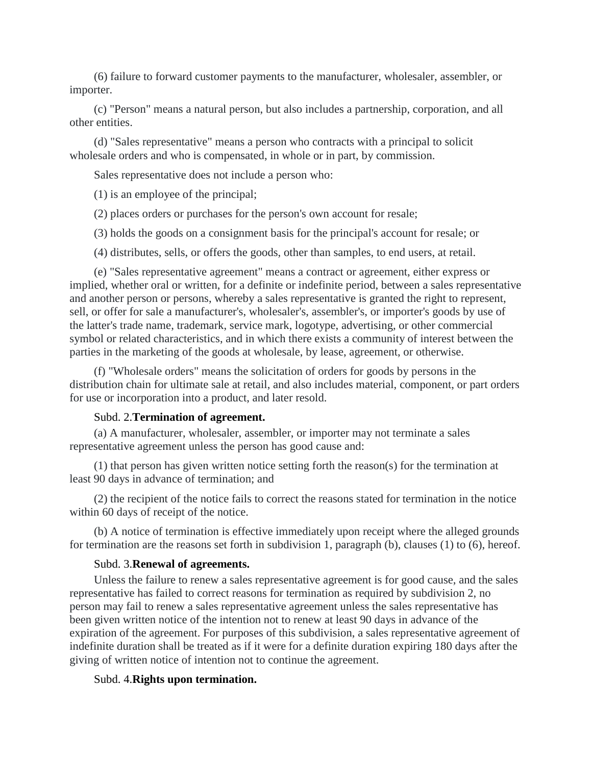(6) failure to forward customer payments to the manufacturer, wholesaler, assembler, or importer.

(c) "Person" means a natural person, but also includes a partnership, corporation, and all other entities.

(d) "Sales representative" means a person who contracts with a principal to solicit wholesale orders and who is compensated, in whole or in part, by commission.

Sales representative does not include a person who:

(1) is an employee of the principal;

(2) places orders or purchases for the person's own account for resale;

(3) holds the goods on a consignment basis for the principal's account for resale; or

(4) distributes, sells, or offers the goods, other than samples, to end users, at retail.

(e) "Sales representative agreement" means a contract or agreement, either express or implied, whether oral or written, for a definite or indefinite period, between a sales representative and another person or persons, whereby a sales representative is granted the right to represent, sell, or offer for sale a manufacturer's, wholesaler's, assembler's, or importer's goods by use of the latter's trade name, trademark, service mark, logotype, advertising, or other commercial symbol or related characteristics, and in which there exists a community of interest between the parties in the marketing of the goods at wholesale, by lease, agreement, or otherwise.

(f) "Wholesale orders" means the solicitation of orders for goods by persons in the distribution chain for ultimate sale at retail, and also includes material, component, or part orders for use or incorporation into a product, and later resold.

### Subd. 2.**Termination of agreement.**

(a) A manufacturer, wholesaler, assembler, or importer may not terminate a sales representative agreement unless the person has good cause and:

(1) that person has given written notice setting forth the reason(s) for the termination at least 90 days in advance of termination; and

(2) the recipient of the notice fails to correct the reasons stated for termination in the notice within 60 days of receipt of the notice.

(b) A notice of termination is effective immediately upon receipt where the alleged grounds for termination are the reasons set forth in subdivision 1, paragraph (b), clauses (1) to (6), hereof.

#### Subd. 3.**Renewal of agreements.**

Unless the failure to renew a sales representative agreement is for good cause, and the sales representative has failed to correct reasons for termination as required by subdivision 2, no person may fail to renew a sales representative agreement unless the sales representative has been given written notice of the intention not to renew at least 90 days in advance of the expiration of the agreement. For purposes of this subdivision, a sales representative agreement of indefinite duration shall be treated as if it were for a definite duration expiring 180 days after the giving of written notice of intention not to continue the agreement.

## Subd. 4.**Rights upon termination.**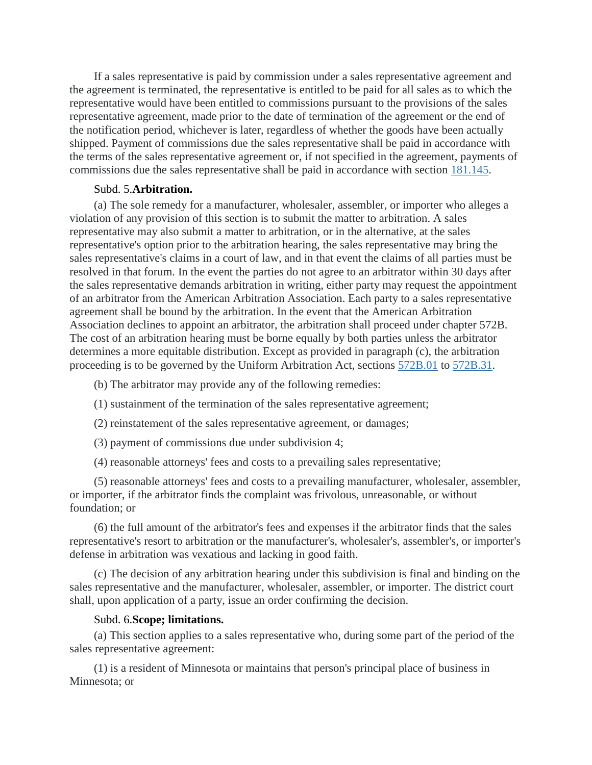If a sales representative is paid by commission under a sales representative agreement and the agreement is terminated, the representative is entitled to be paid for all sales as to which the representative would have been entitled to commissions pursuant to the provisions of the sales representative agreement, made prior to the date of termination of the agreement or the end of the notification period, whichever is later, regardless of whether the goods have been actually shipped. Payment of commissions due the sales representative shall be paid in accordance with the terms of the sales representative agreement or, if not specified in the agreement, payments of commissions due the sales representative shall be paid in accordance with section [181.145.](https://www.revisor.mn.gov/statutes/cite/181.145)

### Subd. 5.**Arbitration.**

(a) The sole remedy for a manufacturer, wholesaler, assembler, or importer who alleges a violation of any provision of this section is to submit the matter to arbitration. A sales representative may also submit a matter to arbitration, or in the alternative, at the sales representative's option prior to the arbitration hearing, the sales representative may bring the sales representative's claims in a court of law, and in that event the claims of all parties must be resolved in that forum. In the event the parties do not agree to an arbitrator within 30 days after the sales representative demands arbitration in writing, either party may request the appointment of an arbitrator from the American Arbitration Association. Each party to a sales representative agreement shall be bound by the arbitration. In the event that the American Arbitration Association declines to appoint an arbitrator, the arbitration shall proceed under chapter 572B. The cost of an arbitration hearing must be borne equally by both parties unless the arbitrator determines a more equitable distribution. Except as provided in paragraph (c), the arbitration proceeding is to be governed by the Uniform Arbitration Act, sections [572B.01](https://www.revisor.mn.gov/statutes/cite/572B.01) to [572B.31.](https://www.revisor.mn.gov/statutes/cite/572B.31)

- (b) The arbitrator may provide any of the following remedies:
- (1) sustainment of the termination of the sales representative agreement;
- (2) reinstatement of the sales representative agreement, or damages;
- (3) payment of commissions due under subdivision 4;
- (4) reasonable attorneys' fees and costs to a prevailing sales representative;

(5) reasonable attorneys' fees and costs to a prevailing manufacturer, wholesaler, assembler, or importer, if the arbitrator finds the complaint was frivolous, unreasonable, or without foundation; or

(6) the full amount of the arbitrator's fees and expenses if the arbitrator finds that the sales representative's resort to arbitration or the manufacturer's, wholesaler's, assembler's, or importer's defense in arbitration was vexatious and lacking in good faith.

(c) The decision of any arbitration hearing under this subdivision is final and binding on the sales representative and the manufacturer, wholesaler, assembler, or importer. The district court shall, upon application of a party, issue an order confirming the decision.

### Subd. 6.**Scope; limitations.**

(a) This section applies to a sales representative who, during some part of the period of the sales representative agreement:

(1) is a resident of Minnesota or maintains that person's principal place of business in Minnesota; or